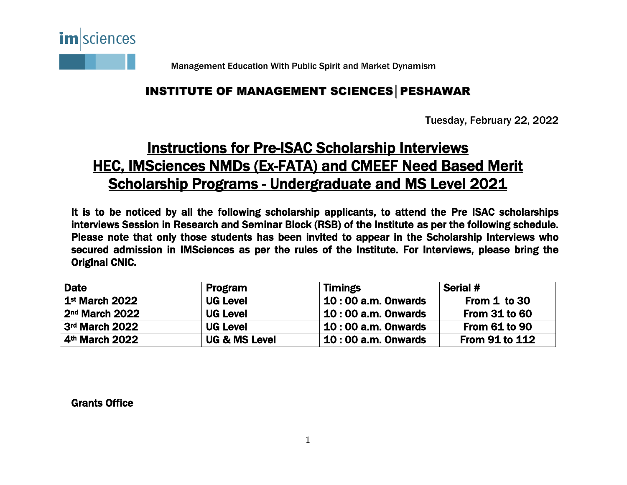

Management Education With Public Spirit and Market Dynamism

## INSTITUTE OF MANAGEMENT SCIENCES│PESHAWAR

Tuesday, February 22, 2022

## Instructions for Pre-ISAC Scholarship Interviews HEC, IMSciences NMDs (Ex-FATA) and CMEEF Need Based Merit Scholarship Programs - Undergraduate and MS Level 2021

It is to be noticed by all the following scholarship applicants, to attend the Pre ISAC scholarships interviews Session in Research and Seminar Block (RSB) of the Institute as per the following schedule. Please note that only those students has been invited to appear in the Scholarship Interviews who secured admission in IMSciences as per the rules of the Institute. For Interviews, please bring the Original CNIC.

| <b>Date</b>                | Program                  | <b>Timings</b>            | Serial #              |
|----------------------------|--------------------------|---------------------------|-----------------------|
| 1 <sup>st</sup> March 2022 | <b>UG Level</b>          | <b>10:00 a.m. Onwards</b> | From 1 to 30          |
| 2 <sup>nd</sup> March 2022 | <b>UG Level</b>          | 10:00 a.m. Onwards        | <b>From 31 to 60</b>  |
| 3rd March 2022             | <b>UG Level</b>          | <b>10:00 a.m. Onwards</b> | <b>From 61 to 90</b>  |
| 4 <sup>th</sup> March 2022 | <b>UG &amp; MS Level</b> | <b>10:00 a.m. Onwards</b> | <b>From 91 to 112</b> |
|                            |                          |                           |                       |

Grants Office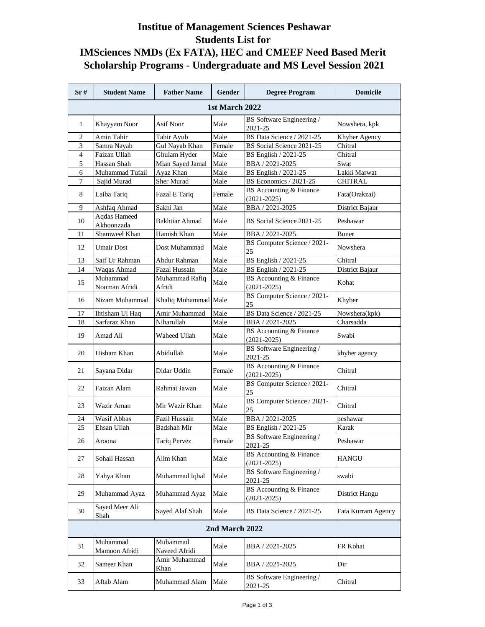## **Institue of Management Sciences Peshawar Students List for IMSciences NMDs (Ex FATA), HEC and CMEEF Need Based Merit Scholarship Programs - Undergraduate and MS Level Session 2021**

| Sr#            | <b>Student Name</b>        | <b>Father Name</b>        | Gender | <b>Degree Program</b>                      | <b>Domicile</b>    |
|----------------|----------------------------|---------------------------|--------|--------------------------------------------|--------------------|
| 1st March 2022 |                            |                           |        |                                            |                    |
| 1              | Khayyam Noor               | Asif Noor                 | Male   | BS Software Engineering /<br>2021-25       | Nowshera, kpk      |
| 2              | Amin Tahir                 | Tahir Ayub                | Male   | BS Data Science / 2021-25                  | Khyber Agency      |
| 3              | Samra Nayab                | Gul Nayab Khan            | Female | BS Social Science 2021-25                  | Chitral            |
| $\overline{4}$ | Faizan Ullah               | Ghulam Hyder              | Male   | BS English / 2021-25                       | Chitral            |
| 5              | Hassan Shah                | Mian Sayed Jamal          | Male   | BBA / 2021-2025                            | Swat               |
| 6              | Muhammad Tufail            | Ayaz Khan                 | Male   | BS English / 2021-25                       | Lakki Marwat       |
| 7              | Sajid Murad                | Sher Murad                | Male   | BS Economics / 2021-25                     | <b>CHITRAL</b>     |
| 8              | Laiba Tariq                | Fazal E Tariq             | Female | BS Accounting & Finance<br>$(2021 - 2025)$ | Fata(Orakzai)      |
| 9              | Ashfaq Ahmad               | Sakhi Jan                 | Male   | BBA / 2021-2025                            | District Bajaur    |
| 10             | Aqdas Hameed<br>Akhoonzada | Bakhtiar Ahmad            | Male   | BS Social Science 2021-25                  | Peshawar           |
| 11             | Shamweel Khan              | Hamish Khan               | Male   | BBA / 2021-2025                            | <b>Buner</b>       |
| 12             | <b>Umair Dost</b>          | Dost Muhammad             | Male   | BS Computer Science / 2021-<br>25          | Nowshera           |
| 13             | Saif Ur Rahman             | Abdur Rahman              | Male   | BS English / 2021-25                       | Chitral            |
| 14             | Waqas Ahmad                | Fazal Hussain             | Male   | BS English / 2021-25                       | District Bajaur    |
| 15             | Muhammad<br>Nouman Afridi  | Muhammad Rafiq<br>Afridi  | Male   | BS Accounting & Finance<br>$(2021 - 2025)$ | Kohat              |
| 16             | Nizam Muhammad             | Khaliq Muhammad Male      |        | BS Computer Science / 2021-<br>25          | Khyber             |
| 17             | Ihtisham Ul Haq            | Amir Muhammad             | Male   | BS Data Science / 2021-25                  | Nowshera(kpk)      |
| 18             | Sarfaraz Khan              | Niharullah                | Male   | BBA / 2021-2025                            | Charsadda          |
| 19             | Amad Ali                   | Waheed Ullah              | Male   | BS Accounting & Finance<br>$(2021 - 2025)$ | Swabi              |
| 20             | Hisham Khan                | Abidullah                 | Male   | BS Software Engineering /<br>2021-25       | khyber agency      |
| 21             | Sayana Didar               | Didar Uddin               | Female | BS Accounting & Finance<br>$(2021 - 2025)$ | Chitral            |
| 22             | Faizan Alam                | Rahmat Jawan              | Male   | BS Computer Science / 2021-<br>25          | Chitral            |
| 23             | Wazir Aman                 | Mir Wazir Khan            | Male   | BS Computer Science / 2021-<br>25          | Chitral            |
| 24             | Wasif Abbas                | Fazil Hussain             | Male   | BBA / 2021-2025                            | peshawar           |
| 25             | Ehsan Ullah                | Badshah Mir               | Male   | BS English / 2021-25                       | Karak              |
| 26             | Aroona                     | Tariq Pervez              | Female | BS Software Engineering /<br>2021-25       | Peshawar           |
| 27             | Sohail Hassan              | Alim Khan                 | Male   | BS Accounting & Finance<br>$(2021 - 2025)$ | <b>HANGU</b>       |
| 28             | Yahya Khan                 | Muhammad Iqbal            | Male   | BS Software Engineering /<br>2021-25       | swabi              |
| 29             | Muhammad Ayaz              | Muhammad Ayaz             | Male   | BS Accounting & Finance<br>$(2021 - 2025)$ | District Hangu     |
| 30             | Sayed Meer Ali<br>Shah     | Sayed Alaf Shah           | Male   | BS Data Science / 2021-25                  | Fata Kurram Agency |
| 2nd March 2022 |                            |                           |        |                                            |                    |
| 31             | Muhammad<br>Mamoon Afridi  | Muhammad<br>Naveed Afridi | Male   | BBA / 2021-2025                            | FR Kohat           |
| 32             | Sameer Khan                | Amir Muhammad<br>Khan     | Male   | BBA / 2021-2025                            | Dir                |
| 33             | Aftab Alam                 | Muhammad Alam             | Male   | BS Software Engineering /<br>2021-25       | Chitral            |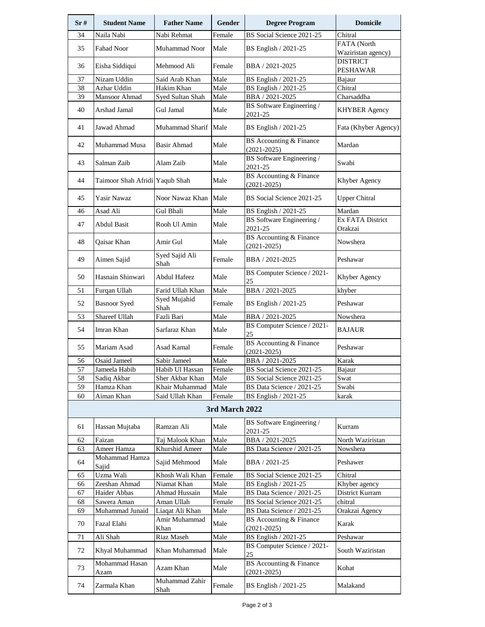| Sr# | <b>Student Name</b>            | <b>Father Name</b>     | <b>Gender</b>            | <b>Degree Program</b>                             | <b>Domicile</b>                   |
|-----|--------------------------------|------------------------|--------------------------|---------------------------------------------------|-----------------------------------|
| 34  | Naila Nabi                     | Nabi Rehmat            | Female                   | BS Social Science 2021-25                         | Chitral                           |
| 35  | <b>Fahad Noor</b>              | Muhammad Noor          | Male                     | BS English / 2021-25                              | FATA (North<br>Waziristan agency) |
| 36  | Eisha Siddiqui                 | Mehmood Ali            | Female                   | BBA / 2021-2025                                   | <b>DISTRICT</b><br>PESHAWAR       |
| 37  | Nizam Uddin                    | Said Arab Khan         | Male                     | BS English / 2021-25                              | Bajaur                            |
| 38  | Azhar Uddin                    | Hakim Khan             | Male                     | BS English / 2021-25                              | Chitral                           |
| 39  | Mansoor Ahmad                  | Syed Sultan Shah       | Male                     | BBA / 2021-2025                                   | Charsaddha                        |
| 40  | Arshad Jamal                   | Gul Jamal              | Male                     | BS Software Engineering /<br>2021-25              | <b>KHYBER Agency</b>              |
| 41  | Jawad Ahmad                    | Muhammad Sharif Male   |                          | BS English / 2021-25                              | Fata (Khyber Agency)              |
| 42  | Muhammad Musa                  | Basir Ahmad            | Male                     | BS Accounting & Finance<br>$(2021 - 2025)$        | Mardan                            |
| 43  | Salman Zaib                    | Alam Zaib              | Male                     | BS Software Engineering /<br>2021-25              | Swabi                             |
| 44  | Taimoor Shah Afridi Yaqub Shah |                        | Male                     | BS Accounting & Finance<br>$(2021 - 2025)$        | Khyber Agency                     |
| 45  | Yasir Nawaz                    | Noor Nawaz Khan   Male |                          | BS Social Science 2021-25                         | <b>Upper Chitral</b>              |
| 46  | Asad Ali                       | Gul Bhali              | Male                     | BS English / 2021-25                              | Mardan                            |
| 47  | Abdul Basit                    | Rooh Ul Amin           | Male                     | BS Software Engineering /<br>2021-25              | Ex FATA District<br>Orakzai       |
| 48  | Qaisar Khan                    | Amir Gul               | Male                     | <b>BS</b> Accounting & Finance<br>$(2021 - 2025)$ | Nowshera                          |
| 49  | Aimen Sajid                    | Syed Sajid Ali<br>Shah | Female                   | BBA / 2021-2025                                   | Peshawar                          |
| 50  | Hasnain Shinwari               | Abdul Hafeez           | Male                     | BS Computer Science / 2021-<br>25                 | Khyber Agency                     |
| 51  | Furqan Ullah                   | Farid Ullah Khan       | Male                     | BBA / 2021-2025                                   | khyber                            |
| 52  | <b>Basnoor</b> Syed            | Syed Mujahid<br>Shah   | Female                   | BS English / 2021-25                              | Peshawar                          |
| 53  | Shareef Ullah                  | Fazli Bari             | Male                     | BBA / 2021-2025                                   | Nowshera                          |
| 54  | Imran Khan                     | Sarfaraz Khan          | Male                     | BS Computer Science / 2021-<br>25                 | <b>BAJAUR</b>                     |
| 55  | Mariam Asad                    | Asad Kamal             | Female                   | BS Accounting & Finance<br>$(2021 - 2025)$        | Peshawar                          |
| 56  | Osaid Jameel                   | Sabir Jameel           | Male                     | BBA / 2021-2025                                   | Karak                             |
| 57  | Jameela Habib                  | Habib Ul Hassan        | Female                   | BS Social Science 2021-25                         | Bajaur                            |
| 58  | Sadiq Akbar                    | Sher Akbar Khan        | Male                     | BS Social Science 2021-25                         | Swat                              |
| 59  | Hamza Khan                     | Khair Muhammad         | Male                     | BS Data Science / 2021-25                         | Swabi                             |
| 60  | Aiman Khan                     | Said Ullah Khan        | Female<br>3rd March 2022 | BS English / 2021-25                              | karak                             |
|     |                                |                        |                          | BS Software Engineering /                         |                                   |
| 61  | Hassan Mujtaba                 | Ramzan Ali             | Male                     | 2021-25                                           | Kurram                            |
| 62  | Faizan                         | Taj Malook Khan        | Male                     | BBA / 2021-2025                                   | North Waziristan                  |
| 63  | Ameer Hamza                    | Khurshid Ameer         | Male                     | BS Data Science / 2021-25                         | Nowshera                          |
| 64  | Mohammad Hamza<br>Sajid        | Sajid Mehmood          | Male                     | BBA / 2021-25                                     | Peshawer                          |
| 65  | Uzma Wali                      | Khosh Wali Khan        | Female                   | BS Social Science 2021-25                         | Chitral                           |
| 66  | Zeeshan Ahmad                  | Niamat Khan            | Male                     | BS English / 2021-25                              | Khyber agency                     |
| 67  | Haider Abbas                   | Ahmad Hussain          | Male                     | BS Data Science / 2021-25                         | District Kurram                   |
| 68  | Sawera Aman                    | Aman Ullah             | Female                   | BS Social Science 2021-25                         | chitral                           |
| 69  | Muhammad Junaid                | Liaqat Ali Khan        | Male                     | BS Data Science / 2021-25                         | Orakzai Agency                    |
| 70  | Fazal Elahi                    | Amir Muhammad<br>Khan  | Male                     | BS Accounting & Finance<br>$(2021 - 2025)$        | Karak                             |
| 71  | Ali Shah                       | Riaz Maseh             | Male                     | BS English / 2021-25                              | Peshawar                          |
| 72  | Khyal Muhammad                 | Khan Muhammad          | Male                     | BS Computer Science / 2021-<br>25                 | South Waziristan                  |
| 73  | Mohammad Hasan<br>Azam         | Azam Khan              | Male                     | BS Accounting & Finance<br>$(2021 - 2025)$        | Kohat                             |
| 74  | Zarmala Khan                   | Muhammad Zahir<br>Shah | Female                   | BS English / 2021-25                              | Malakand                          |